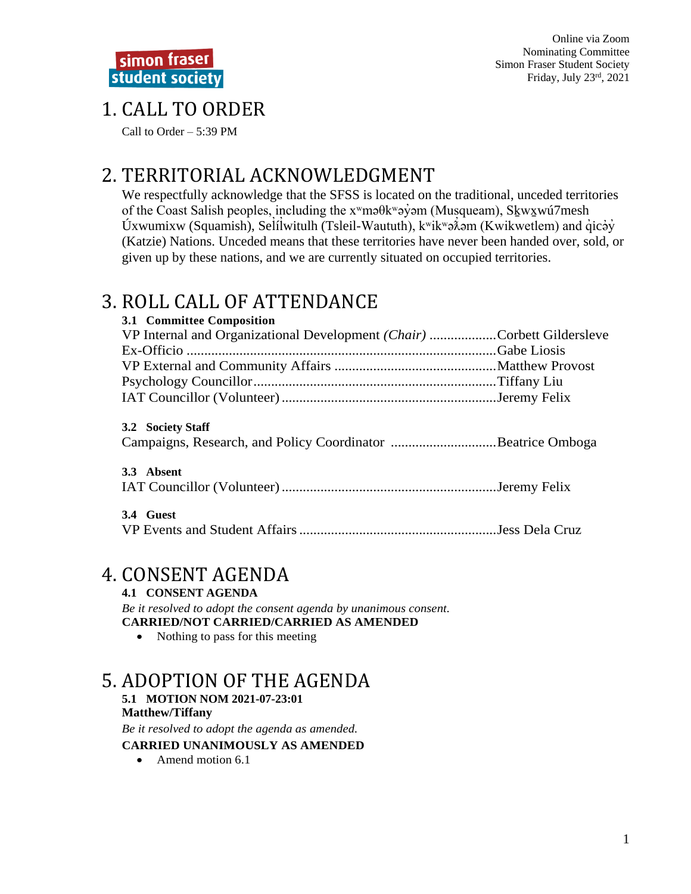Online via Zoom Nominating Committee **Simon Fraser Student Society** Friday, July  $23^{\text{rd}}$ , 2021

## 1. CALL TO ORDER

Call to Order  $-5:39$  PM

# 2. TERRITORIAL ACKNOWLEDGMENT

We respectfully acknowledge that the SFSS is located on the traditional, unceded territories of the Coast Salish peoples, including the x<sup>w</sup>maθk<sup>w</sup>ayom (Musqueam), Skwxwú7mesh Úxwumixw (Squamish), Selílwitulh (Tsleil-Waututh),  $k^{\text{w}}$ ikwə $\lambda$ əm (Kwikwetlem) and qicəy (Katzie) Nations. Unceded means that these territories have never been handed over, sold, or given up by these nations, and we are currently situated on occupied territories.

# 3. ROLL CALL OF ATTENDANCE

| 3.1 Committee Composition                                              |  |
|------------------------------------------------------------------------|--|
| VP Internal and Organizational Development (Chair) Corbett Gildersleve |  |
|                                                                        |  |
|                                                                        |  |
|                                                                        |  |
|                                                                        |  |

### 3.2 Society Staff

|  |  |  |  | Campaigns, Research, and Policy Coordinator Beatrice Omboga |  |
|--|--|--|--|-------------------------------------------------------------|--|
|--|--|--|--|-------------------------------------------------------------|--|

### 3.3 Absent

### 3.4 Guest

## **4. CONSENT AGENDA**

**4.1 CONSENT AGENDA** 

Be it resolved to adopt the consent agenda by unanimous consent. **CARRIED/NOT CARRIED/CARRIED AS AMENDED** 

• Nothing to pass for this meeting

## 5. ADOPTION OF THE AGENDA

#### 5.1 MOTION NOM 2021-07-23:01 **Matthew/Tiffany**

Be it resolved to adopt the agenda as amended.

### **CARRIED UNANIMOUSLY AS AMENDED**

 $\bullet$  Amend motion 6.1